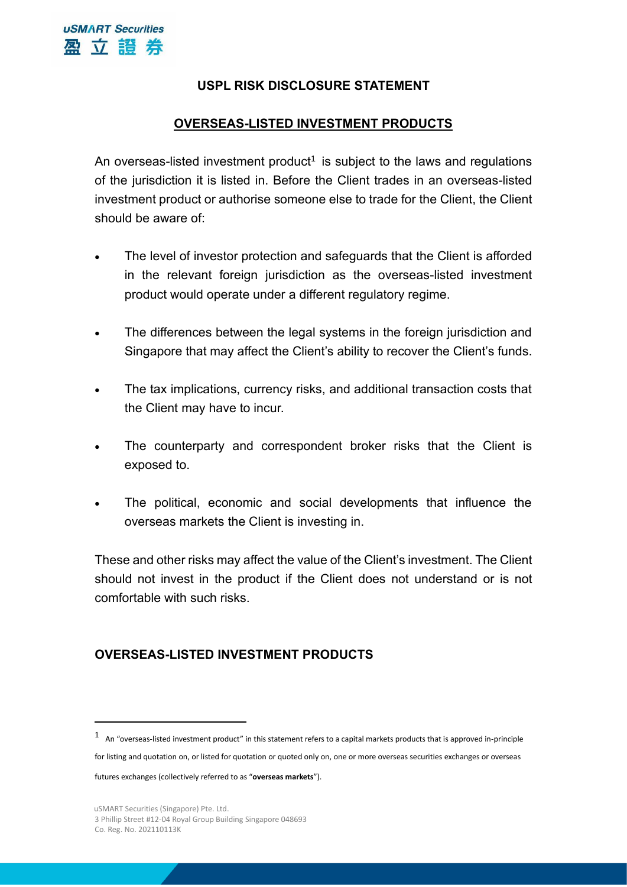# **USPL RISK DISCLOSURE STATEMENT**

# **OVERSEAS-LISTED INVESTMENT PRODUCTS**

An overseas-listed investment product<sup>1</sup> is subject to the laws and regulations of the jurisdiction it is listed in. Before the Client trades in an overseas-listed investment product or authorise someone else to trade for the Client, the Client should be aware of:

- The level of investor protection and safeguards that the Client is afforded in the relevant foreign jurisdiction as the overseas-listed investment product would operate under a different regulatory regime.
- The differences between the legal systems in the foreign jurisdiction and Singapore that may affect the Client's ability to recover the Client's funds.
- The tax implications, currency risks, and additional transaction costs that the Client may have to incur.
- The counterparty and correspondent broker risks that the Client is exposed to.
- The political, economic and social developments that influence the overseas markets the Client is investing in.

These and other risks may affect the value of the Client's investment. The Client should not invest in the product if the Client does not understand or is not comfortable with such risks.

## **OVERSEAS-LISTED INVESTMENT PRODUCTS**

for listing and quotation on, or listed for quotation or quoted only on, one or more overseas securities exchanges or overseas

futures exchanges (collectively referred to as "**overseas markets**").

 $1$  An "overseas-listed investment product" in this statement refers to a capital markets products that is approved in-principle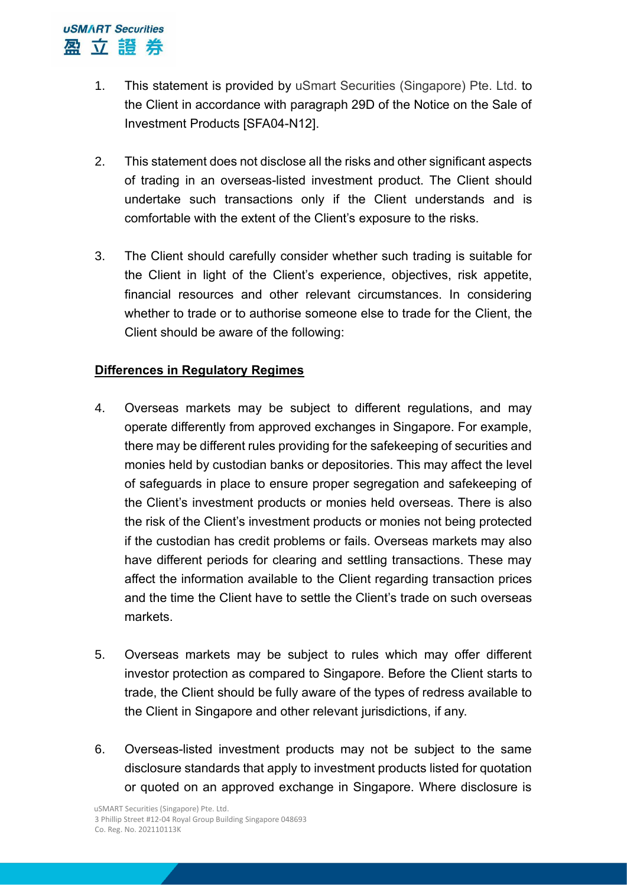- 1. This statement is provided by uSmart Securities (Singapore) Pte. Ltd. to the Client in accordance with paragraph 29D of the Notice on the Sale of Investment Products [SFA04-N12].
- 2. This statement does not disclose all the risks and other significant aspects of trading in an overseas-listed investment product. The Client should undertake such transactions only if the Client understands and is comfortable with the extent of the Client's exposure to the risks.
- 3. The Client should carefully consider whether such trading is suitable for the Client in light of the Client's experience, objectives, risk appetite, financial resources and other relevant circumstances. In considering whether to trade or to authorise someone else to trade for the Client, the Client should be aware of the following:

#### **Differences in Regulatory Regimes**

- 4. Overseas markets may be subject to different regulations, and may operate differently from approved exchanges in Singapore. For example, there may be different rules providing for the safekeeping of securities and monies held by custodian banks or depositories. This may affect the level of safeguards in place to ensure proper segregation and safekeeping of the Client's investment products or monies held overseas. There is also the risk of the Client's investment products or monies not being protected if the custodian has credit problems or fails. Overseas markets may also have different periods for clearing and settling transactions. These may affect the information available to the Client regarding transaction prices and the time the Client have to settle the Client's trade on such overseas markets.
- 5. Overseas markets may be subject to rules which may offer different investor protection as compared to Singapore. Before the Client starts to trade, the Client should be fully aware of the types of redress available to the Client in Singapore and other relevant jurisdictions, if any.
- 6. Overseas-listed investment products may not be subject to the same disclosure standards that apply to investment products listed for quotation or quoted on an approved exchange in Singapore. Where disclosure is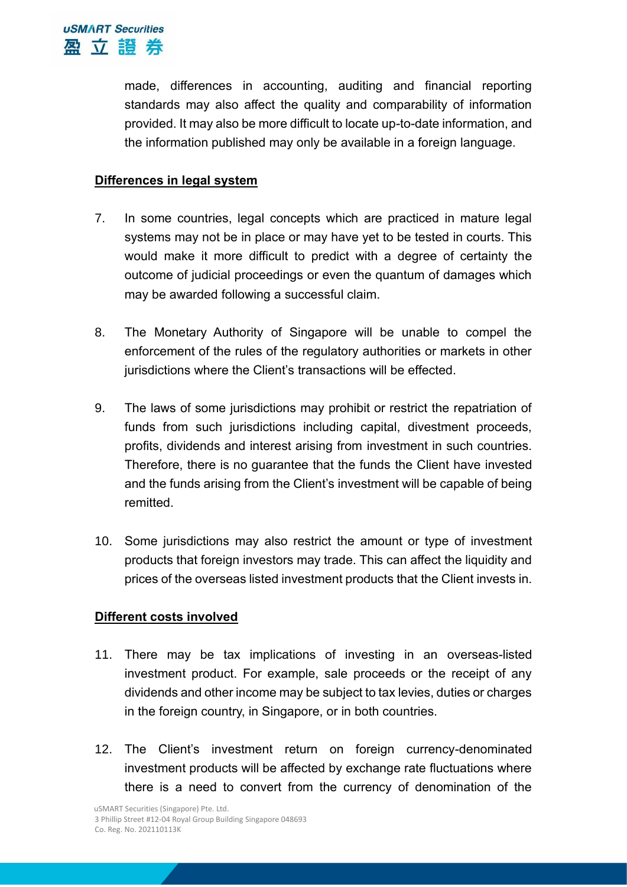made, differences in accounting, auditing and financial reporting standards may also affect the quality and comparability of information provided. It may also be more difficult to locate up-to-date information, and the information published may only be available in a foreign language.

## **Differences in legal system**

- 7. In some countries, legal concepts which are practiced in mature legal systems may not be in place or may have yet to be tested in courts. This would make it more difficult to predict with a degree of certainty the outcome of judicial proceedings or even the quantum of damages which may be awarded following a successful claim.
- 8. The Monetary Authority of Singapore will be unable to compel the enforcement of the rules of the regulatory authorities or markets in other jurisdictions where the Client's transactions will be effected.
- 9. The laws of some jurisdictions may prohibit or restrict the repatriation of funds from such jurisdictions including capital, divestment proceeds, profits, dividends and interest arising from investment in such countries. Therefore, there is no guarantee that the funds the Client have invested and the funds arising from the Client's investment will be capable of being remitted.
- 10. Some jurisdictions may also restrict the amount or type of investment products that foreign investors may trade. This can affect the liquidity and prices of the overseas listed investment products that the Client invests in.

## **Different costs involved**

- 11. There may be tax implications of investing in an overseas-listed investment product. For example, sale proceeds or the receipt of any dividends and other income may be subject to tax levies, duties or charges in the foreign country, in Singapore, or in both countries.
- 12. The Client's investment return on foreign currency-denominated investment products will be affected by exchange rate fluctuations where there is a need to convert from the currency of denomination of the